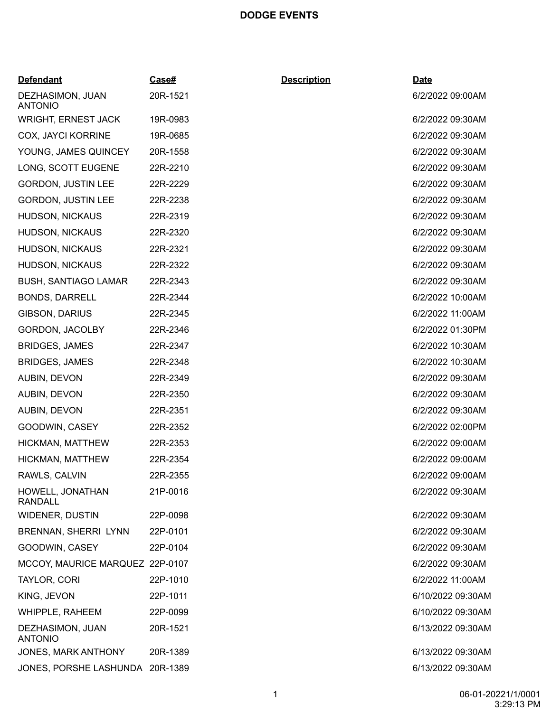## **DODGE EVENTS**

| <b>Defendant</b>                   | <u>Case#</u> | <b>Description</b> | <u>Date</u>       |
|------------------------------------|--------------|--------------------|-------------------|
| DEZHASIMON, JUAN<br><b>ANTONIO</b> | 20R-1521     |                    | 6/2/2022 09:00AM  |
| <b>WRIGHT, ERNEST JACK</b>         | 19R-0983     |                    | 6/2/2022 09:30AM  |
| <b>COX, JAYCI KORRINE</b>          | 19R-0685     |                    | 6/2/2022 09:30AM  |
| YOUNG, JAMES QUINCEY               | 20R-1558     |                    | 6/2/2022 09:30AM  |
| LONG, SCOTT EUGENE                 | 22R-2210     |                    | 6/2/2022 09:30AM  |
| <b>GORDON, JUSTIN LEE</b>          | 22R-2229     |                    | 6/2/2022 09:30AM  |
| <b>GORDON, JUSTIN LEE</b>          | 22R-2238     |                    | 6/2/2022 09:30AM  |
| <b>HUDSON, NICKAUS</b>             | 22R-2319     |                    | 6/2/2022 09:30AM  |
| HUDSON, NICKAUS                    | 22R-2320     |                    | 6/2/2022 09:30AM  |
| <b>HUDSON, NICKAUS</b>             | 22R-2321     |                    | 6/2/2022 09:30AM  |
| HUDSON, NICKAUS                    | 22R-2322     |                    | 6/2/2022 09:30AM  |
| <b>BUSH, SANTIAGO LAMAR</b>        | 22R-2343     |                    | 6/2/2022 09:30AM  |
| <b>BONDS, DARRELL</b>              | 22R-2344     |                    | 6/2/2022 10:00AM  |
| <b>GIBSON, DARIUS</b>              | 22R-2345     |                    | 6/2/2022 11:00AM  |
| GORDON, JACOLBY                    | 22R-2346     |                    | 6/2/2022 01:30PM  |
| <b>BRIDGES, JAMES</b>              | 22R-2347     |                    | 6/2/2022 10:30AM  |
| <b>BRIDGES, JAMES</b>              | 22R-2348     |                    | 6/2/2022 10:30AM  |
| AUBIN, DEVON                       | 22R-2349     |                    | 6/2/2022 09:30AM  |
| AUBIN, DEVON                       | 22R-2350     |                    | 6/2/2022 09:30AM  |
| AUBIN, DEVON                       | 22R-2351     |                    | 6/2/2022 09:30AM  |
| GOODWIN, CASEY                     | 22R-2352     |                    | 6/2/2022 02:00PM  |
| HICKMAN, MATTHEW                   | 22R-2353     |                    | 6/2/2022 09:00AM  |
| HICKMAN, MATTHEW                   | 22R-2354     |                    | 6/2/2022 09:00AM  |
| RAWLS, CALVIN                      | 22R-2355     |                    | 6/2/2022 09:00AM  |
| HOWELL, JONATHAN<br><b>RANDALL</b> | 21P-0016     |                    | 6/2/2022 09:30AM  |
| <b>WIDENER, DUSTIN</b>             | 22P-0098     |                    | 6/2/2022 09:30AM  |
| <b>BRENNAN, SHERRI LYNN</b>        | 22P-0101     |                    | 6/2/2022 09:30AM  |
| GOODWIN, CASEY                     | 22P-0104     |                    | 6/2/2022 09:30AM  |
| MCCOY, MAURICE MARQUEZ 22P-0107    |              |                    | 6/2/2022 09:30AM  |
| TAYLOR, CORI                       | 22P-1010     |                    | 6/2/2022 11:00AM  |
| KING, JEVON                        | 22P-1011     |                    | 6/10/2022 09:30AM |
| WHIPPLE, RAHEEM                    | 22P-0099     |                    | 6/10/2022 09:30AM |
| DEZHASIMON, JUAN<br><b>ANTONIO</b> | 20R-1521     |                    | 6/13/2022 09:30AM |
| JONES, MARK ANTHONY                | 20R-1389     |                    | 6/13/2022 09:30AM |
| JONES, PORSHE LASHUNDA 20R-1389    |              |                    | 6/13/2022 09:30AM |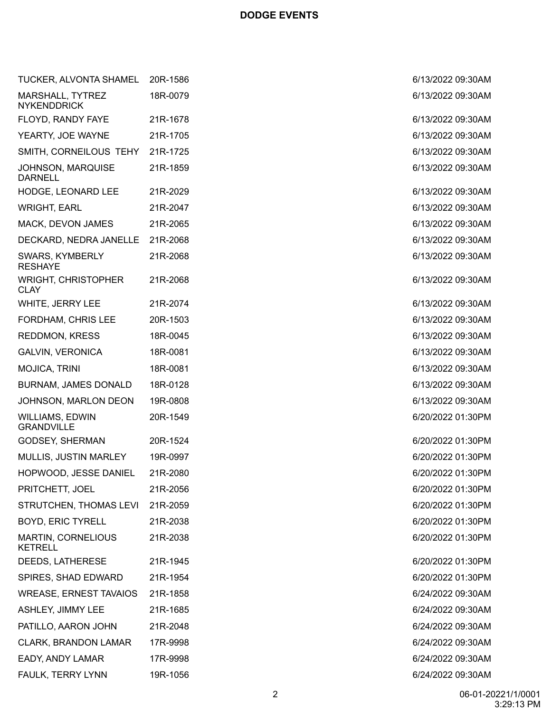| TUCKER, ALVONTA SHAMEL                      | 20R-1586 | 6/13/2022 09:30AM |
|---------------------------------------------|----------|-------------------|
| MARSHALL, TYTREZ<br><b>NYKENDDRICK</b>      | 18R-0079 | 6/13/2022 09:30AM |
| FLOYD, RANDY FAYE                           | 21R-1678 | 6/13/2022 09:30AM |
| YEARTY, JOE WAYNE                           | 21R-1705 | 6/13/2022 09:30AM |
| SMITH, CORNEILOUS TEHY                      | 21R-1725 | 6/13/2022 09:30AM |
| JOHNSON, MARQUISE<br><b>DARNELL</b>         | 21R-1859 | 6/13/2022 09:30AM |
| HODGE, LEONARD LEE                          | 21R-2029 | 6/13/2022 09:30AM |
| <b>WRIGHT, EARL</b>                         | 21R-2047 | 6/13/2022 09:30AM |
| MACK, DEVON JAMES                           | 21R-2065 | 6/13/2022 09:30AM |
| DECKARD, NEDRA JANELLE                      | 21R-2068 | 6/13/2022 09:30AM |
| SWARS, KYMBERLY<br><b>RESHAYE</b>           | 21R-2068 | 6/13/2022 09:30AM |
| <b>WRIGHT, CHRISTOPHER</b><br><b>CLAY</b>   | 21R-2068 | 6/13/2022 09:30AM |
| WHITE, JERRY LEE                            | 21R-2074 | 6/13/2022 09:30AM |
| FORDHAM, CHRIS LEE                          | 20R-1503 | 6/13/2022 09:30AM |
| <b>REDDMON, KRESS</b>                       | 18R-0045 | 6/13/2022 09:30AM |
| <b>GALVIN, VERONICA</b>                     | 18R-0081 | 6/13/2022 09:30AM |
| <b>MOJICA, TRINI</b>                        | 18R-0081 | 6/13/2022 09:30AM |
| <b>BURNAM, JAMES DONALD</b>                 | 18R-0128 | 6/13/2022 09:30AM |
| JOHNSON, MARLON DEON                        | 19R-0808 | 6/13/2022 09:30AM |
| <b>WILLIAMS, EDWIN</b><br><b>GRANDVILLE</b> | 20R-1549 | 6/20/2022 01:30PM |
| GODSEY, SHERMAN                             | 20R-1524 | 6/20/2022 01:30PM |
| MULLIS, JUSTIN MARLEY                       | 19R-0997 | 6/20/2022 01:30PM |
| HOPWOOD, JESSE DANIEL                       | 21R-2080 | 6/20/2022 01:30PM |
| PRITCHETT, JOEL                             | 21R-2056 | 6/20/2022 01:30PM |
| STRUTCHEN, THOMAS LEVI                      | 21R-2059 | 6/20/2022 01:30PM |
| <b>BOYD, ERIC TYRELL</b>                    | 21R-2038 | 6/20/2022 01:30PM |
| MARTIN, CORNELIOUS<br><b>KETRELL</b>        | 21R-2038 | 6/20/2022 01:30PM |
| DEEDS, LATHERESE                            | 21R-1945 | 6/20/2022 01:30PM |
| SPIRES, SHAD EDWARD                         | 21R-1954 | 6/20/2022 01:30PM |
| <b>WREASE, ERNEST TAVAIOS</b>               | 21R-1858 | 6/24/2022 09:30AM |
| ASHLEY, JIMMY LEE                           | 21R-1685 | 6/24/2022 09:30AM |
| PATILLO, AARON JOHN                         | 21R-2048 | 6/24/2022 09:30AM |
| CLARK, BRANDON LAMAR                        | 17R-9998 | 6/24/2022 09:30AM |
| EADY, ANDY LAMAR                            | 17R-9998 | 6/24/2022 09:30AM |
| FAULK, TERRY LYNN                           | 19R-1056 | 6/24/2022 09:30AM |

| 20R-1586             | 6/13/2022 09:30AM                      |
|----------------------|----------------------------------------|
| 18R-0079             | 6/13/2022 09:30AM                      |
| 21R-1678             | 6/13/2022 09:30AM                      |
| 21R-1705             | 6/13/2022 09:30AM                      |
| 21R-1725             | 6/13/2022 09:30AM                      |
|                      | 6/13/2022 09:30AM                      |
| 21R-1859             |                                        |
| 21R-2029             | 6/13/2022 09:30AM                      |
| 21R-2047             | 6/13/2022 09:30AM                      |
| 21R-2065             | 6/13/2022 09:30AM                      |
| 21R-2068             | 6/13/2022 09:30AM                      |
| 21R-2068             | 6/13/2022 09:30AM                      |
| 21R-2068             | 6/13/2022 09:30AM                      |
| 21R-2074             | 6/13/2022 09:30AM                      |
| 20R-1503             | 6/13/2022 09:30AM                      |
| 18R-0045             | 6/13/2022 09:30AM                      |
| 18R-0081             | 6/13/2022 09:30AM                      |
| 18R-0081             | 6/13/2022 09:30AM                      |
| 18R-0128             | 6/13/2022 09:30AM                      |
| 19R-0808             | 6/13/2022 09:30AM                      |
| 20R-1549             | 6/20/2022 01:30PM                      |
|                      |                                        |
| 20R-1524<br>19R-0997 | 6/20/2022 01:30PM<br>6/20/2022 01:30PM |
| 21R-2080             | 6/20/2022 01:30PM                      |
| 21R-2056             | 6/20/2022 01:30PM                      |
|                      |                                        |
| 21R-2059<br>21R-2038 | 6/20/2022 01:30PM                      |
|                      | 6/20/2022 01:30PM                      |
| 21R-2038             | 6/20/2022 01:30PM                      |
| 21R-1945             | 6/20/2022 01:30PM                      |
| 21R-1954             | 6/20/2022 01:30PM                      |
| 21R-1858             | 6/24/2022 09:30AM                      |
| 21R-1685             | 6/24/2022 09:30AM                      |
| 21R-2048             | 6/24/2022 09:30AM                      |
| 17R-9998             | 6/24/2022 09:30AM                      |
| 17R-9998             | 6/24/2022 09:30AM                      |
| 19R-1056             | 6/24/2022 09:30AM                      |
|                      |                                        |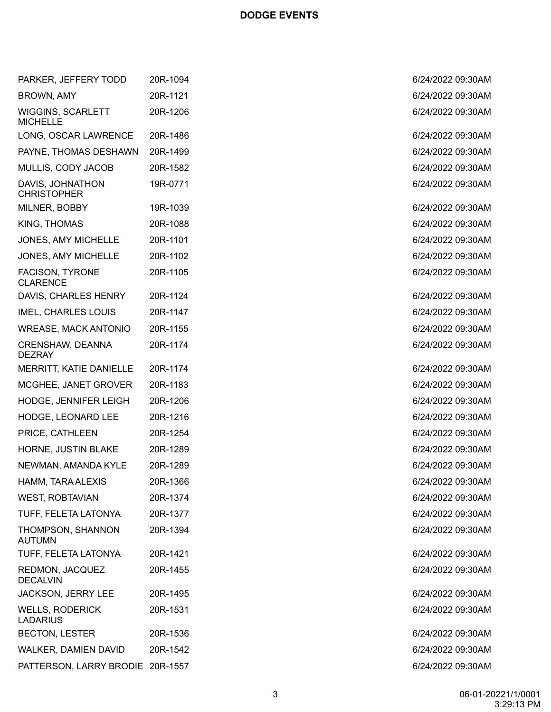| PARKER, JEFFERY TODD                      | 20R-1094 | 6/24/2022 09:30AM |
|-------------------------------------------|----------|-------------------|
| <b>BROWN, AMY</b>                         | 20R-1121 | 6/24/2022 09:30AM |
| WIGGINS, SCARLETT<br><b>MICHELLE</b>      | 20R-1206 | 6/24/2022 09:30AM |
| LONG, OSCAR LAWRENCE                      | 20R-1486 | 6/24/2022 09:30AM |
| PAYNE, THOMAS DESHAWN                     | 20R-1499 | 6/24/2022 09:30AM |
| MULLIS, CODY JACOB                        | 20R-1582 | 6/24/2022 09:30AM |
| DAVIS, JOHNATHON<br><b>CHRISTOPHER</b>    | 19R-0771 | 6/24/2022 09:30AM |
| MILNER, BOBBY                             | 19R-1039 | 6/24/2022 09:30AM |
| KING, THOMAS                              | 20R-1088 | 6/24/2022 09:30AM |
| JONES, AMY MICHELLE                       | 20R-1101 | 6/24/2022 09:30AM |
| <b>JONES, AMY MICHELLE</b>                | 20R-1102 | 6/24/2022 09:30AM |
| <b>FACISON, TYRONE</b><br><b>CLARENCE</b> | 20R-1105 | 6/24/2022 09:30AM |
| DAVIS, CHARLES HENRY                      | 20R-1124 | 6/24/2022 09:30AM |
| <b>IMEL, CHARLES LOUIS</b>                | 20R-1147 | 6/24/2022 09:30AM |
| <b>WREASE, MACK ANTONIO</b>               | 20R-1155 | 6/24/2022 09:30AM |
| <b>CRENSHAW, DEANNA</b><br><b>DEZRAY</b>  | 20R-1174 | 6/24/2022 09:30AM |
| MERRITT, KATIE DANIELLE                   | 20R-1174 | 6/24/2022 09:30AM |
| MCGHEE, JANET GROVER                      | 20R-1183 | 6/24/2022 09:30AM |
| HODGE, JENNIFER LEIGH                     | 20R-1206 | 6/24/2022 09:30AM |
| <b>HODGE, LEONARD LEE</b>                 | 20R-1216 | 6/24/2022 09:30AM |
| PRICE, CATHLEEN                           | 20R-1254 | 6/24/2022 09:30AM |
| HORNE, JUSTIN BLAKE                       | 20R-1289 | 6/24/2022 09:30AM |
| NEWMAN, AMANDA KYLE                       | 20R-1289 | 6/24/2022 09:30AM |
| HAMM, TARA ALEXIS                         | 20R-1366 | 6/24/2022 09:30AM |
| <b>WEST, ROBTAVIAN</b>                    | 20R-1374 | 6/24/2022 09:30AM |
| TUFF, FELETA LATONYA                      | 20R-1377 | 6/24/2022 09:30AM |
| THOMPSON, SHANNON<br><b>AUTUMN</b>        | 20R-1394 | 6/24/2022 09:30AM |
| TUFF, FELETA LATONYA                      | 20R-1421 | 6/24/2022 09:30AM |
| REDMON, JACQUEZ<br><b>DECALVIN</b>        | 20R-1455 | 6/24/2022 09:30AM |
| <b>JACKSON, JERRY LEE</b>                 | 20R-1495 | 6/24/2022 09:30AM |
| <b>WELLS, RODERICK</b><br><b>LADARIUS</b> | 20R-1531 | 6/24/2022 09:30AM |
| <b>BECTON, LESTER</b>                     | 20R-1536 | 6/24/2022 09:30AM |
| WALKER, DAMIEN DAVID                      | 20R-1542 | 6/24/2022 09:30AM |
| PATTERSON, LARRY BRODIE 20R-1557          |          | 6/24/2022 09:30AM |